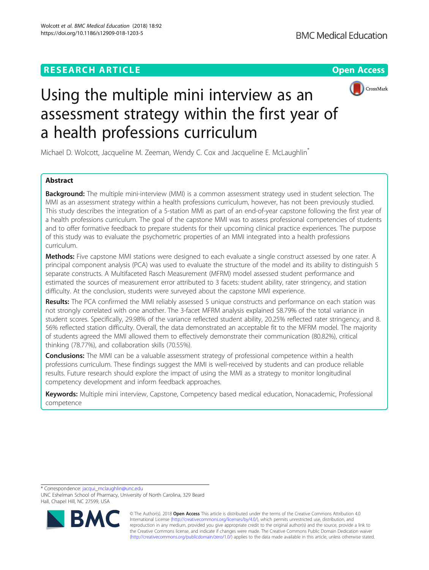## **RESEARCH ARTICLE Example 2014 12:30 The Contract of Contract ACCESS**



# Using the multiple mini interview as an assessment strategy within the first year of a health professions curriculum

Michael D. Wolcott, Jacqueline M. Zeeman, Wendy C. Cox and Jacqueline E. McLaughlin<sup>\*</sup>

### Abstract

**Background:** The multiple mini-interview (MMI) is a common assessment strategy used in student selection. The MMI as an assessment strategy within a health professions curriculum, however, has not been previously studied. This study describes the integration of a 5-station MMI as part of an end-of-year capstone following the first year of a health professions curriculum. The goal of the capstone MMI was to assess professional competencies of students and to offer formative feedback to prepare students for their upcoming clinical practice experiences. The purpose of this study was to evaluate the psychometric properties of an MMI integrated into a health professions curriculum.

**Methods:** Five capstone MMI stations were designed to each evaluate a single construct assessed by one rater. A principal component analysis (PCA) was used to evaluate the structure of the model and its ability to distinguish 5 separate constructs. A Multifaceted Rasch Measurement (MFRM) model assessed student performance and estimated the sources of measurement error attributed to 3 facets: student ability, rater stringency, and station difficulty. At the conclusion, students were surveyed about the capstone MMI experience.

Results: The PCA confirmed the MMI reliably assessed 5 unique constructs and performance on each station was not strongly correlated with one another. The 3-facet MFRM analysis explained 58.79% of the total variance in student scores. Specifically, 29.98% of the variance reflected student ability, 20.25% reflected rater stringency, and 8. 56% reflected station difficulty. Overall, the data demonstrated an acceptable fit to the MFRM model. The majority of students agreed the MMI allowed them to effectively demonstrate their communication (80.82%), critical thinking (78.77%), and collaboration skills (70.55%).

**Conclusions:** The MMI can be a valuable assessment strategy of professional competence within a health professions curriculum. These findings suggest the MMI is well-received by students and can produce reliable results. Future research should explore the impact of using the MMI as a strategy to monitor longitudinal competency development and inform feedback approaches.

Keywords: Multiple mini interview, Capstone, Competency based medical education, Nonacademic, Professional competence

\* Correspondence: [jacqui\\_mclaughlin@unc.edu](mailto:jacqui_mclaughlin@unc.edu)

UNC Eshelman School of Pharmacy, University of North Carolina, 329 Beard Hall, Chapel Hill, NC 27599, USA



© The Author(s). 2018 Open Access This article is distributed under the terms of the Creative Commons Attribution 4.0 International License [\(http://creativecommons.org/licenses/by/4.0/](http://creativecommons.org/licenses/by/4.0/)), which permits unrestricted use, distribution, and reproduction in any medium, provided you give appropriate credit to the original author(s) and the source, provide a link to the Creative Commons license, and indicate if changes were made. The Creative Commons Public Domain Dedication waiver [\(http://creativecommons.org/publicdomain/zero/1.0/](http://creativecommons.org/publicdomain/zero/1.0/)) applies to the data made available in this article, unless otherwise stated.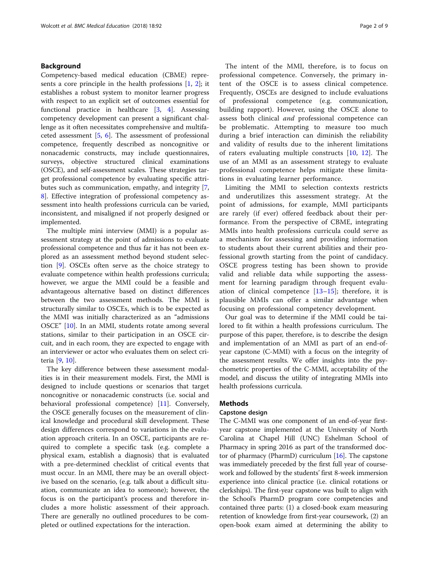#### Background

Competency-based medical education (CBME) represents a core principle in the health professions  $[1, 2]$  $[1, 2]$  $[1, 2]$ ; it establishes a robust system to monitor learner progress with respect to an explicit set of outcomes essential for functional practice in healthcare [\[3](#page-7-0), [4](#page-7-0)]. Assessing competency development can present a significant challenge as it often necessitates comprehensive and multifaceted assessment  $[5, 6]$  $[5, 6]$  $[5, 6]$  $[5, 6]$ . The assessment of professional competence, frequently described as noncognitive or nonacademic constructs, may include questionnaires, surveys, objective structured clinical examinations (OSCE), and self-assessment scales. These strategies target professional competence by evaluating specific attributes such as communication, empathy, and integrity [\[7](#page-7-0), [8\]](#page-7-0). Effective integration of professional competency assessment into health professions curricula can be varied, inconsistent, and misaligned if not properly designed or implemented.

The multiple mini interview (MMI) is a popular assessment strategy at the point of admissions to evaluate professional competence and thus far it has not been explored as an assessment method beyond student selection [\[9](#page-7-0)]. OSCEs often serve as the choice strategy to evaluate competence within health professions curricula; however, we argue the MMI could be a feasible and advantageous alternative based on distinct differences between the two assessment methods. The MMI is structurally similar to OSCEs, which is to be expected as the MMI was initially characterized as an "admissions OSCE" [\[10\]](#page-7-0). In an MMI, students rotate among several stations, similar to their participation in an OSCE circuit, and in each room, they are expected to engage with an interviewer or actor who evaluates them on select criteria [[9,](#page-7-0) [10\]](#page-7-0).

The key difference between these assessment modalities is in their measurement models. First, the MMI is designed to include questions or scenarios that target noncognitive or nonacademic constructs (i.e. social and behavioral professional competence) [[11\]](#page-7-0). Conversely, the OSCE generally focuses on the measurement of clinical knowledge and procedural skill development. These design differences correspond to variations in the evaluation approach criteria. In an OSCE, participants are required to complete a specific task (e.g. complete a physical exam, establish a diagnosis) that is evaluated with a pre-determined checklist of critical events that must occur. In an MMI, there may be an overall objective based on the scenario, (e.g. talk about a difficult situation, communicate an idea to someone); however, the focus is on the participant's process and therefore includes a more holistic assessment of their approach. There are generally no outlined procedures to be completed or outlined expectations for the interaction.

The intent of the MMI, therefore, is to focus on professional competence. Conversely, the primary intent of the OSCE is to assess clinical competence. Frequently, OSCEs are designed to include evaluations of professional competence (e.g. communication, building rapport). However, using the OSCE alone to assess both clinical *and* professional competence can be problematic. Attempting to measure too much during a brief interaction can diminish the reliability and validity of results due to the inherent limitations of raters evaluating multiple constructs [[10,](#page-7-0) [12\]](#page-7-0). The use of an MMI as an assessment strategy to evaluate professional competence helps mitigate these limitations in evaluating learner performance.

Limiting the MMI to selection contexts restricts and underutilizes this assessment strategy. At the point of admissions, for example, MMI participants are rarely (if ever) offered feedback about their performance. From the perspective of CBME, integrating MMIs into health professions curricula could serve as a mechanism for assessing and providing information to students about their current abilities and their professional growth starting from the point of candidacy. OSCE progress testing has been shown to provide valid and reliable data while supporting the assessment for learning paradigm through frequent evaluation of clinical competence  $[13-15]$  $[13-15]$  $[13-15]$  $[13-15]$ ; therefore, it is plausible MMIs can offer a similar advantage when focusing on professional competency development.

Our goal was to determine if the MMI could be tailored to fit within a health professions curriculum. The purpose of this paper, therefore, is to describe the design and implementation of an MMI as part of an end-ofyear capstone (C-MMI) with a focus on the integrity of the assessment results. We offer insights into the psychometric properties of the C-MMI, acceptability of the model, and discuss the utility of integrating MMIs into health professions curricula.

#### Methods

#### Capstone design

The C-MMI was one component of an end-of-year firstyear capstone implemented at the University of North Carolina at Chapel Hill (UNC) Eshelman School of Pharmacy in spring 2016 as part of the transformed doctor of pharmacy (PharmD) curriculum [\[16\]](#page-7-0). The capstone was immediately preceded by the first full year of coursework and followed by the students' first 8-week immersion experience into clinical practice (i.e. clinical rotations or clerkships). The first-year capstone was built to align with the School's PharmD program core competencies and contained three parts: (1) a closed-book exam measuring retention of knowledge from first-year coursework, (2) an open-book exam aimed at determining the ability to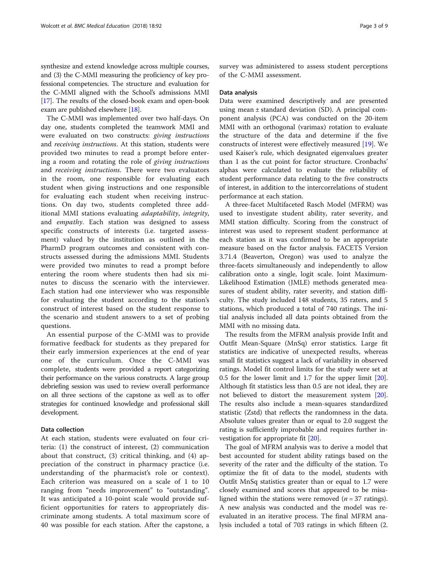synthesize and extend knowledge across multiple courses, and (3) the C-MMI measuring the proficiency of key professional competencies. The structure and evaluation for the C-MMI aligned with the School's admissions MMI [[17](#page-7-0)]. The results of the closed-book exam and open-book exam are published elsewhere [[18](#page-7-0)].

The C-MMI was implemented over two half-days. On day one, students completed the teamwork MMI and were evaluated on two constructs: giving instructions and receiving instructions. At this station, students were provided two minutes to read a prompt before entering a room and rotating the role of giving instructions and receiving instructions. There were two evaluators in the room, one responsible for evaluating each student when giving instructions and one responsible for evaluating each student when receiving instructions. On day two, students completed three additional MMI stations evaluating adaptability, integrity, and empathy. Each station was designed to assess specific constructs of interests (i.e. targeted assessment) valued by the institution as outlined in the PharmD program outcomes and consistent with constructs assessed during the admissions MMI. Students were provided two minutes to read a prompt before entering the room where students then had six minutes to discuss the scenario with the interviewer. Each station had one interviewer who was responsible for evaluating the student according to the station's construct of interest based on the student response to the scenario and student answers to a set of probing questions.

An essential purpose of the C-MMI was to provide formative feedback for students as they prepared for their early immersion experiences at the end of year one of the curriculum. Once the C-MMI was complete, students were provided a report categorizing their performance on the various constructs. A large group debriefing session was used to review overall performance on all three sections of the capstone as well as to offer strategies for continued knowledge and professional skill development.

#### Data collection

At each station, students were evaluated on four criteria: (1) the construct of interest, (2) communication about that construct, (3) critical thinking, and (4) appreciation of the construct in pharmacy practice (i.e. understanding of the pharmacist's role or context). Each criterion was measured on a scale of 1 to 10 ranging from "needs improvement" to "outstanding". It was anticipated a 10-point scale would provide sufficient opportunities for raters to appropriately discriminate among students. A total maximum score of 40 was possible for each station. After the capstone, a survey was administered to assess student perceptions of the C-MMI assessment.

#### Data analysis

Data were examined descriptively and are presented using mean ± standard deviation (SD). A principal component analysis (PCA) was conducted on the 20-item MMI with an orthogonal (varimax) rotation to evaluate the structure of the data and determine if the five constructs of interest were effectively measured [\[19\]](#page-7-0). We used Kaiser's rule, which designated eigenvalues greater than 1 as the cut point for factor structure. Cronbachs' alphas were calculated to evaluate the reliability of student performance data relating to the five constructs of interest, in addition to the intercorrelations of student performance at each station.

A three-facet Multifaceted Rasch Model (MFRM) was used to investigate student ability, rater severity, and MMI station difficulty. Scoring from the construct of interest was used to represent student performance at each station as it was confirmed to be an appropriate measure based on the factor analysis. FACETS Version 3.71.4 (Beaverton, Oregon) was used to analyze the three-facets simultaneously and independently to allow calibration onto a single, logit scale. Joint Maximum-Likelihood Estimation (JMLE) methods generated measures of student ability, rater severity, and station difficulty. The study included 148 students, 35 raters, and 5 stations, which produced a total of 740 ratings. The initial analysis included all data points obtained from the MMI with no missing data.

The results from the MFRM analysis provide Infit and Outfit Mean-Square (MnSq) error statistics. Large fit statistics are indicative of unexpected results, whereas small fit statistics suggest a lack of variability in observed ratings. Model fit control limits for the study were set at 0.5 for the lower limit and 1.7 for the upper limit [\[20](#page-7-0)]. Although fit statistics less than 0.5 are not ideal, they are not believed to distort the measurement system [\[20](#page-7-0)]. The results also include a mean-squares standardized statistic (Zstd) that reflects the randomness in the data. Absolute values greater than or equal to 2.0 suggest the rating is sufficiently improbable and requires further investigation for appropriate fit [[20\]](#page-7-0).

The goal of MFRM analysis was to derive a model that best accounted for student ability ratings based on the severity of the rater and the difficulty of the station. To optimize the fit of data to the model, students with Outfit MnSq statistics greater than or equal to 1.7 were closely examined and scores that appeared to be misaligned within the stations were removed ( $n = 37$  ratings). A new analysis was conducted and the model was reevaluated in an iterative process. The final MFRM analysis included a total of 703 ratings in which fifteen (2.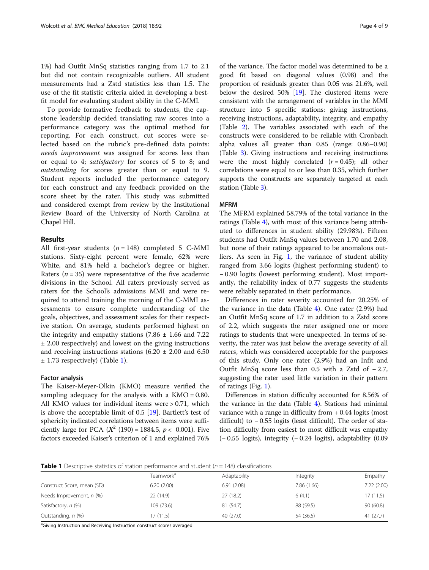1%) had Outfit MnSq statistics ranging from 1.7 to 2.1 but did not contain recognizable outliers. All student measurements had a Zstd statistics less than 1.5. The use of the fit statistic criteria aided in developing a bestfit model for evaluating student ability in the C-MMI.

To provide formative feedback to students, the capstone leadership decided translating raw scores into a performance category was the optimal method for reporting. For each construct, cut scores were selected based on the rubric's pre-defined data points: needs improvement was assigned for scores less than or equal to 4; satisfactory for scores of 5 to 8; and outstanding for scores greater than or equal to 9. Student reports included the performance category for each construct and any feedback provided on the score sheet by the rater. This study was submitted and considered exempt from review by the Institutional Review Board of the University of North Carolina at Chapel Hill.

#### Results

All first-year students  $(n = 148)$  completed 5 C-MMI stations. Sixty-eight percent were female, 62% were White, and 81% held a bachelor's degree or higher. Raters ( $n = 35$ ) were representative of the five academic divisions in the School. All raters previously served as raters for the School's admissions MMI and were required to attend training the morning of the C-MMI assessments to ensure complete understanding of the goals, objectives, and assessment scales for their respective station. On average, students performed highest on the integrity and empathy stations  $(7.86 \pm 1.66 \text{ and } 7.22)$ ± 2.00 respectively) and lowest on the giving instructions and receiving instructions stations  $(6.20 \pm 2.00)$  and  $(6.50)$ ± 1.73 respectively) (Table 1).

#### Factor analysis

The Kaiser-Meyer-Olkin (KMO) measure verified the sampling adequacy for the analysis with a  $KMO = 0.80$ . All KMO values for individual items were > 0.71, which is above the acceptable limit of 0.5 [\[19](#page-7-0)]. Bartlett's test of sphericity indicated correlations between items were sufficiently large for PCA  $(X^2 (190) = 1884.5, p < 0.001)$ . Five factors exceeded Kaiser's criterion of 1 and explained 76%

of the variance. The factor model was determined to be a good fit based on diagonal values (0.98) and the proportion of residuals greater than 0.05 was 21.6%, well below the desired 50% [\[19\]](#page-7-0). The clustered items were consistent with the arrangement of variables in the MMI structure into 5 specific stations: giving instructions, receiving instructions, adaptability, integrity, and empathy (Table [2\)](#page-4-0). The variables associated with each of the constructs were considered to be reliable with Cronbach alpha values all greater than 0.85 (range: 0.86–0.90) (Table [3\)](#page-4-0). Giving instructions and receiving instructions were the most highly correlated  $(r = 0.45)$ ; all other correlations were equal to or less than 0.35, which further supports the constructs are separately targeted at each station (Table [3\)](#page-4-0).

#### MFRM

The MFRM explained 58.79% of the total variance in the ratings (Table [4\)](#page-4-0), with most of this variance being attributed to differences in student ability (29.98%). Fifteen students had Outfit MnSq values between 1.70 and 2.08, but none of their ratings appeared to be anomalous outliers. As seen in Fig. [1](#page-5-0), the variance of student ability ranged from 3.66 logits (highest performing student) to − 0.90 logits (lowest performing student). Most importantly, the reliability index of 0.77 suggests the students were reliably separated in their performance.

Differences in rater severity accounted for 20.25% of the variance in the data (Table [4\)](#page-4-0). One rater (2.9%) had an Outfit MnSq score of 1.7 in addition to a Zstd score of 2.2, which suggests the rater assigned one or more ratings to students that were unexpected. In terms of severity, the rater was just below the average severity of all raters, which was considered acceptable for the purposes of this study. Only one rater (2.9%) had an Infit and Outfit MnSq score less than 0.5 with a Zstd of − 2.7, suggesting the rater used little variation in their pattern of ratings (Fig. [1\)](#page-5-0).

Differences in station difficulty accounted for 8.56% of the variance in the data (Table [4](#page-4-0)). Stations had minimal variance with a range in difficulty from + 0.44 logits (most difficult) to − 0.55 logits (least difficult). The order of station difficulty from easiest to most difficult was empathy (− 0.55 logits), integrity (− 0.24 logits), adaptability (0.09

**Table 1** Descriptive statistics of station performance and student ( $n = 148$ ) classifications

|                            | Teamwork <sup>a</sup> | Adaptability | Integrity   | Empathy     |
|----------------------------|-----------------------|--------------|-------------|-------------|
| Construct Score, mean (SD) | 6.20(2.00)            | 6.91(2.08)   | 7.86 (1.66) | 7.22 (2.00) |
| Needs Improvement, n (%)   | 22 (14.9)             | 27(18.2)     | 6(4.1)      | 17(11.5)    |
| Satisfactory, n (%)        | 109 (73.6)            | 81 (54.7)    | 88 (59.5)   | 90(60.8)    |
| Outstanding, n (%)         | 17 (11.5)             | 40 (27.0)    | 54 (36.5)   | 41(27.7)    |

<sup>a</sup>Giving Instruction and Receiving Instruction construct scores averaged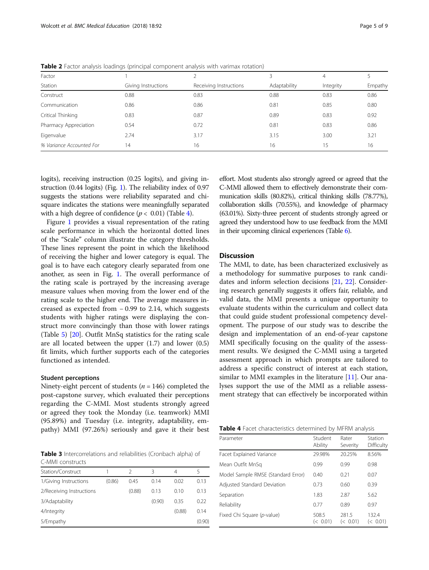| Factor                   |                     |                        |              | 4         |         |
|--------------------------|---------------------|------------------------|--------------|-----------|---------|
| Station                  | Giving Instructions | Receiving Instructions | Adaptability | Integrity | Empathy |
| Construct                | 0.88                | 0.83                   | 0.88         | 0.83      | 0.86    |
| Communication            | 0.86                | 0.86                   | 0.81         | 0.85      | 0.80    |
| Critical Thinking        | 0.83                | 0.87                   | 0.89         | 0.83      | 0.92    |
| Pharmacy Appreciation    | 0.54                | 0.72                   | 0.81         | 0.83      | 0.86    |
| Eigenvalue               | 2.74                | 3.17                   | 3.15         | 3.00      | 3.21    |
| % Variance Accounted For | 14                  | 16                     | 16           | 15        | 16      |

<span id="page-4-0"></span>Table 2 Factor analysis loadings (principal component analysis with varimax rotation)

logits), receiving instruction (0.25 logits), and giving instruction (0.44 logits) (Fig. [1\)](#page-5-0). The reliability index of 0.97 suggests the stations were reliability separated and chisquare indicates the stations were meaningfully separated with a high degree of confidence ( $p < 0.01$ ) (Table 4).

Figure [1](#page-5-0) provides a visual representation of the rating scale performance in which the horizontal dotted lines of the "Scale" column illustrate the category thresholds. These lines represent the point in which the likelihood of receiving the higher and lower category is equal. The goal is to have each category clearly separated from one another, as seen in Fig. [1.](#page-5-0) The overall performance of the rating scale is portrayed by the increasing average measure values when moving from the lower end of the rating scale to the higher end. The average measures increased as expected from − 0.99 to 2.14, which suggests students with higher ratings were displaying the construct more convincingly than those with lower ratings (Table [5](#page-6-0)) [[20\]](#page-7-0). Outfit MnSq statistics for the rating scale are all located between the upper (1.7) and lower (0.5) fit limits, which further supports each of the categories functioned as intended.

#### Student perceptions

Ninety-eight percent of students ( $n = 146$ ) completed the post-capstone survey, which evaluated their perceptions regarding the C-MMI. Most students strongly agreed or agreed they took the Monday (i.e. teamwork) MMI (95.89%) and Tuesday (i.e. integrity, adaptability, empathy) MMI (97.26%) seriously and gave it their best

Table 3 Intercorrelations and reliabilities (Cronbach alpha) of C-MMI constructs

| Station/Construct        |        | 2      | 3      | 4      | 5      |
|--------------------------|--------|--------|--------|--------|--------|
| 1/Giving Instructions    | (0.86) | 0.45   | 0.14   | 0.02   | 0.13   |
| 2/Receiving Instructions |        | (0.88) | 0.13   | 0.10   | 0.13   |
| 3/Adaptability           |        |        | (0.90) | 0.35   | 0.22   |
| 4/Integrity              |        |        |        | (0.88) | 0.14   |
| 5/Empathy                |        |        |        |        | (0.90) |
|                          |        |        |        |        |        |

effort. Most students also strongly agreed or agreed that the C-MMI allowed them to effectively demonstrate their communication skills (80.82%), critical thinking skills (78.77%), collaboration skills (70.55%), and knowledge of pharmacy (63.01%). Sixty-three percent of students strongly agreed or agreed they understood how to use feedback from the MMI in their upcoming clinical experiences (Table [6](#page-6-0)).

#### **Discussion**

The MMI, to date, has been characterized exclusively as a methodology for summative purposes to rank candidates and inform selection decisions [[21,](#page-7-0) [22](#page-8-0)]. Considering research generally suggests it offers fair, reliable, and valid data, the MMI presents a unique opportunity to evaluate students within the curriculum and collect data that could guide student professional competency development. The purpose of our study was to describe the design and implementation of an end-of-year capstone MMI specifically focusing on the quality of the assessment results. We designed the C-MMI using a targeted assessment approach in which prompts are tailored to address a specific construct of interest at each station, similar to MMI examples in the literature [[11\]](#page-7-0). Our analyses support the use of the MMI as a reliable assessment strategy that can effectively be incorporated within

| <b>Table 4</b> Facet characteristics determined by MFRM analysis |  |  |  |
|------------------------------------------------------------------|--|--|--|
|------------------------------------------------------------------|--|--|--|

| Parameter                          | Student<br>Ability | Rater<br>Severity | Station<br>Difficulty |
|------------------------------------|--------------------|-------------------|-----------------------|
| Facet Explained Variance           | 29.98%             | 20.25%            | 8.56%                 |
| Mean Outfit MnSg                   | 0.99               | 0.99              | 0.98                  |
| Model Sample RMSE (Standard Error) | 0.40               | 0.21              | 0.07                  |
| Adjusted Standard Deviation        | 0.73               | 0.60              | 0.39                  |
| Separation                         | 1.83               | 2.87              | 5.62                  |
| Reliability                        | 0.77               | 0.89              | 0.97                  |
| Fixed Chi Square (p-value)         | 508.5<br>(< 0.01)  | 281.5<br>(< 0.01) | 132.4<br>(< 0.01)     |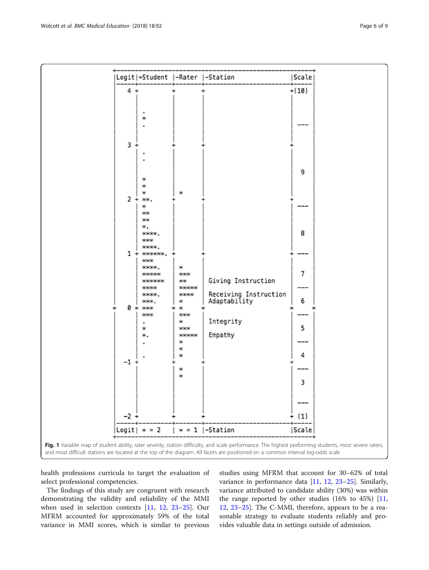<span id="page-5-0"></span>

health professions curricula to target the evaluation of select professional competencies.

The findings of this study are congruent with research demonstrating the validity and reliability of the MMI when used in selection contexts [[11,](#page-7-0) [12,](#page-7-0) [23](#page-8-0)–[25\]](#page-8-0). Our MFRM accounted for approximately 59% of the total variance in MMI scores, which is similar to previous

studies using MFRM that account for 30–62% of total variance in performance data [\[11,](#page-7-0) [12,](#page-7-0) [23](#page-8-0)–[25](#page-8-0)]. Similarly, variance attributed to candidate ability (30%) was within the range reported by other studies (16% to 45%) [[11](#page-7-0), [12,](#page-7-0) [23](#page-8-0)–[25\]](#page-8-0). The C-MMI, therefore, appears to be a reasonable strategy to evaluate students reliably and provides valuable data in settings outside of admission.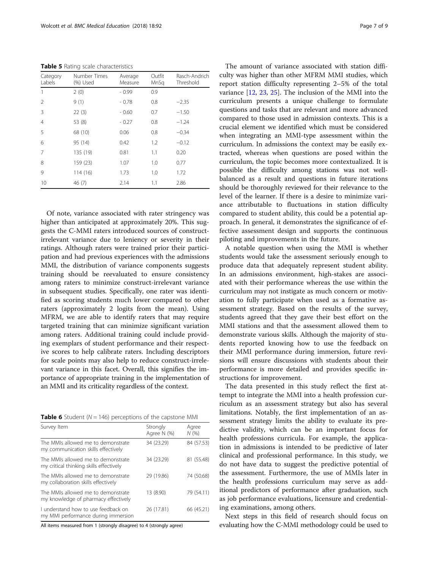<span id="page-6-0"></span>Table 5 Rating scale characteristics

| Category<br>Labels | Number Times<br>(%) Used | Average<br>Measure | Outfit<br>MnSa | Rasch-Andrich<br>Threshold |
|--------------------|--------------------------|--------------------|----------------|----------------------------|
| 1                  | 2(0)                     | $-0.99$            | 0.9            |                            |
| $\mathcal{P}$      | 9(1)                     | $-0.78$            | 0.8            | $-2.35$                    |
| 3                  | 22(3)                    | - 0.60             | 0.7            | $-1.50$                    |
| 4                  | 53 (8)                   | $-0.27$            | 0.8            | $-1.24$                    |
| 5                  | 68 (10)                  | 0.06               | 0.8            | $-0.34$                    |
| 6                  | 95 (14)                  | 0.42               | 1.2            | $-0.12$                    |
| 7                  | 135 (19)                 | 0.81               | 1.1            | 0.20                       |
| 8                  | 159 (23)                 | 1.07               | 1.0            | 0.77                       |
| 9                  | 114(16)                  | 1.73               | 1.0            | 1.72                       |
| 10                 | 46 (7)                   | 2.14               | 1.1            | 2.86                       |

Of note, variance associated with rater stringency was higher than anticipated at approximately 20%. This suggests the C-MMI raters introduced sources of constructirrelevant variance due to leniency or severity in their ratings. Although raters were trained prior their participation and had previous experiences with the admissions MMI, the distribution of variance components suggests training should be reevaluated to ensure consistency among raters to minimize construct-irrelevant variance in subsequent studies. Specifically, one rater was identified as scoring students much lower compared to other raters (approximately 2 logits from the mean). Using MFRM, we are able to identify raters that may require targeted training that can minimize significant variation among raters. Additional training could include providing exemplars of student performance and their respective scores to help calibrate raters. Including descriptors for scale points may also help to reduce construct-irrelevant variance in this facet. Overall, this signifies the importance of appropriate training in the implementation of an MMI and its criticality regardless of the context.

|  |  | Table 6 Student ( $N = 146$ ) perceptions of the capstone MMI |  |  |
|--|--|---------------------------------------------------------------|--|--|
|  |  |                                                               |  |  |

| Survey Item                                                                   | Strongly<br>Agree N (%) | Agree<br>N(% |
|-------------------------------------------------------------------------------|-------------------------|--------------|
| The MMIs allowed me to demonstrate<br>my communication skills effectively     | 34 (23.29)              | 84 (57.53)   |
| The MMIs allowed me to demonstrate<br>my critical thinking skills effectively | 34 (23.29)              | 81 (55.48)   |
| The MMIs allowed me to demonstrate<br>my collaboration skills effectively     | 29 (19.86)              | 74 (50.68)   |
| The MMIs allowed me to demonstrate<br>my knowledge of pharmacy effectively    | 13 (8.90)               | 79 (54.11)   |
| Lunderstand how to use feedback on<br>my MMI performance during immersion     | 26 (17.81)              | 66 (45.21)   |

All items measured from 1 (strongly disagree) to 4 (strongly agree)

The amount of variance associated with station difficulty was higher than other MFRM MMI studies, which report station difficulty representing 2–5% of the total variance [[12,](#page-7-0) [23](#page-8-0), [25](#page-8-0)]. The inclusion of the MMI into the curriculum presents a unique challenge to formulate questions and tasks that are relevant and more advanced compared to those used in admission contexts. This is a crucial element we identified which must be considered when integrating an MMI-type assessment within the curriculum. In admissions the context may be easily extracted, whereas when questions are posed within the curriculum, the topic becomes more contextualized. It is possible the difficulty among stations was not wellbalanced as a result and questions in future iterations should be thoroughly reviewed for their relevance to the level of the learner. If there is a desire to minimize variance attributable to fluctuations in station difficulty compared to student ability, this could be a potential approach. In general, it demonstrates the significance of effective assessment design and supports the continuous piloting and improvements in the future.

A notable question when using the MMI is whether students would take the assessment seriously enough to produce data that adequately represent student ability. In an admissions environment, high-stakes are associated with their performance whereas the use within the curriculum may not instigate as much concern or motivation to fully participate when used as a formative assessment strategy. Based on the results of the survey, students agreed that they gave their best effort on the MMI stations and that the assessment allowed them to demonstrate various skills. Although the majority of students reported knowing how to use the feedback on their MMI performance during immersion, future revisions will ensure discussions with students about their performance is more detailed and provides specific instructions for improvement.

The data presented in this study reflect the first attempt to integrate the MMI into a health profession curriculum as an assessment strategy but also has several limitations. Notably, the first implementation of an assessment strategy limits the ability to evaluate its predictive validity, which can be an important focus for health professions curricula. For example, the application in admissions is intended to be predictive of later clinical and professional performance. In this study, we do not have data to suggest the predictive potential of the assessment. Furthermore, the use of MMIs later in the health professions curriculum may serve as additional predictors of performance after graduation, such as job performance evaluations, licensure and credentialing examinations, among others.

Next steps in this field of research should focus on evaluating how the C-MMI methodology could be used to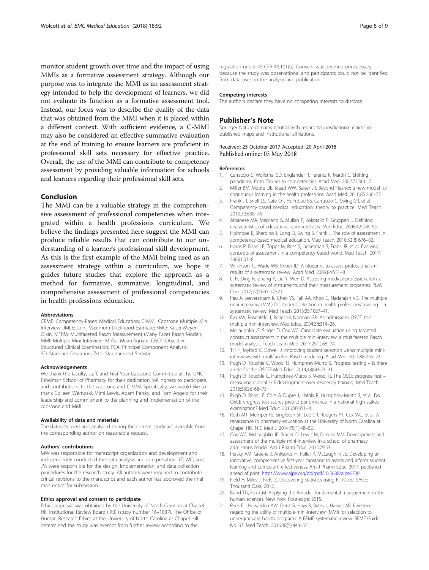<span id="page-7-0"></span>monitor student growth over time and the impact of using MMIs as a formative assessment strategy. Although our purpose was to integrate the MMI as an assessment strategy intended to help the development of learners, we did not evaluate its function as a formative assessment tool. Instead, our focus was to describe the quality of the data that was obtained from the MMI when it is placed within a different context. With sufficient evidence, a C-MMI may also be considered an effective summative evaluation at the end of training to ensure learners are proficient in professional skill sets necessary for effective practice. Overall, the use of the MMI can contribute to competency assessment by providing valuable information for schools and learners regarding their professional skill sets.

#### Conclusion

The MMI can be a valuable strategy in the comprehensive assessment of professional competencies when integrated within a health professions curriculum. We believe the findings presented here suggest the MMI can produce reliable results that can contribute to our understanding of a learner's professional skill development. As this is the first example of the MMI being used as an assessment strategy within a curriculum, we hope it guides future studies that explore the approach as a method for formative, summative, longitudinal, and comprehensive assessment of professional competencies in health professions education.

#### Abbreviations

CBME: Competency-Based Medical Education; C-MMI: Capstone Multiple Mini Interview; JMLE: Joint Maximum Likelihood Estimate; KMO: Kaiser-Meyer-Olkin; MFRM: Multifaceted Rasch Measurement (Many Facet Rasch Model); MMI: Multiple Mini Interview; MnSq: Mean-Square; OSCE: Objective Structured Clinical Examination; PCA: Principal Component Analysis; SD: Standard Deviation; Zstd: Standardized Statistic

#### Acknowledgements

We thank the faculty, staff, and First Year Capstone Committee at the UNC Eshelman School of Pharmacy for their dedication, willingness to participate, and contributions to the capstone and C-MMI. Specifically, we would like to thank Colleen Wernoski, Mimi Lewis, Adam Persky, and Tom Angelo for their leadership and commitment to the planning and implementation of the capstone and MMI.

#### Availability of data and materials

The datasets used and analyzed during the current study are available from the corresponding author on reasonable request.

#### Authors' contributions

MW was responsible for manuscript organization and development and independently conducted the data analysis and interpretation. JZ, WC, and JM were responsible for the design, implementation, and data collection procedures for the research study. All authors were required to contribute critical revisions to the manuscript and each author has approved the final manuscript for submission.

#### Ethics approval and consent to participate

Ethics approval was obtained by the University of North Carolina at Chapel Hill Institutional Review Board (IRB) (study number 16–1837). The Office of Human Research Ethics at the University of North Carolina at Chapel Hill determined the study was exempt from further review according to the

regulation under 45 CFR 46.101(b). Consent was deemed unnecessary because the study was observational and participants could not be identified from data used in the analysis and publication.

#### Competing interests

The authors declare they have no competing interests to disclose.

#### Publisher's Note

Springer Nature remains neutral with regard to jurisdictional claims in published maps and institutional affiliations.

#### Received: 25 October 2017 Accepted: 20 April 2018 Published online: 03 May 2018

#### References

- 1. Carraccio C, Wolfsthal SD, Englander R, Ferentz K, Martin C. Shifting paradigms: from Flexner to competencies. Acad Med. 2002;77:361–7.
- 2. Miller BM, Moore DE, Stead WW, Balser JR. Beyond Flexner: a new model for continuous learning in the health professions. Acad Med. 2010;85:266–72.
- 3. Frank JR, Snell LS, Cate OT, Holmboe ES, Carraccio C, Swing SR, et al. Competency-based medical education: theory to practice. Med Teach. 2010;32:638–45.
- 4. Albanese MA, Mejicano G, Mullan P, Kokotailo P, Gruppen L. Defining characteristics of educational competencies. Med Educ. 2008;42:248–55.
- 5. Holmboe E, Sherbino J, Long D, Swing S, Frank J. The role of assessment in competency-based medical education. Med Teach. 2010;32(8):676–82.
- 6. Harris P, Bhanji F, Topps M, Ross S, Lieberman S, Frank JR, et al. Evolving concepts of assessment in a competency-based world. Med Teach. 2017; 39(6):603–8.
- 7. Wilkinson TJ, Wade WB, Knock ID. A blueprint to assess professionalism: results of a systematic review. Acad Med. 2009;84:551–8.
- 8. Li H, Ding N, Zhang Y, Liu Y, Wen D. Assessing medical professionalism: a systematic review of instruments and their measurement properties. PLoS One. 2017;12(5):e0177321.
- 9. Pau A, Jeevaratnam K, Chen YS, Fall AA, Khoo C, Nadarajah VD. The multiple mini interview (MMI) for student selection in health professions training – a systematic review. Med Teach. 2013;35:1027–41.
- 10. Eva KW, Rosenfeld J, Reiter HI, Norman GR. An admissions OSCE: the multiple mini-interview. Med Educ. 2004;38:314–26.
- 11. McLaughlin JE, Singer D, Cox WC. Candidate evaluation using targeted construct assessment in the multiple mini-interview: a multifaceted Rasch model analysis. Teach Learn Med. 2017;29(1):68–74.
- 12. Till H, Myford C, Dowell J. Improving student selection using multiple miniinterviews with multifaceted Rasch modeling. Acad Med. 2013;88:216–23.
- 13. Pugh D, Touchie C, Wood TJ, Humphrey-Murto S. Progress testing is there a role for the OSCE? Med Educ. 2014;48(6):623–31.
- 14. Pugh D, Touchie C, Humphrey-Murto S, Wood TJ. The OSCE progress test measuring clinical skill development over residency training. Med Teach. 2016;38(2):168–73.
- 15. Pugh D, Bhanji F, Cole G, Dupre J, Hatala R, Humphrey-Murto S, et al. Do OSCE progress test scores predict performance in a national high-stakes examination? Med Educ. 2016;50:351–8.
- 16. Roth MT, Mumper RJ, Singleton SF, Lee CR, Rodgers PT, Cox WC, et al. A renaissance in pharmacy education at the University of North Carolina at Chapel Hill. N C Med J. 2014;75(1):48–52.
- 17. Cox WC, McLaughlin JE, Singer D, Lewis M, Dinkins MM. Development and assessment of the multiple mini-interview in a school of pharmacy admissions model. Am J Pharm Educ. 2015;79:53.
- 18. Persky AM, Greene J, Anksorus H, Fuller K, McLaughlin JE. Developing an innovative, comprehensive first-year capstone to assess and inform student learning and curriculum effectiveness. Am J Pharm Educ. 2017. published ahead of print. [https://www.ajpe.org/doi/pdf/10.5688/ajpe6730.](https://www.ajpe.org/doi/pdf/10.5688/ajpe6730)
- 19. Field A, Miles J, Field Z. Discovering statistics using R. 1st ed. SAGE: Thousand Oaks; 2012.
- 20. Bond TG, Fox CM. Applying the Rmodel: fundamental measurement in the human sciences. New York: Routledge; 2015.
- 21. Rees EL, Hawarden AW, Dent G, Hays R, Bates J, Hassell AB. Evidence regarding the utility of multiple-mini-interview (MMI) for selection to undergraduate health programs: A BEME systematic review: BEME Guide No. 37. Med Teach. 2016;38(5):443–55.